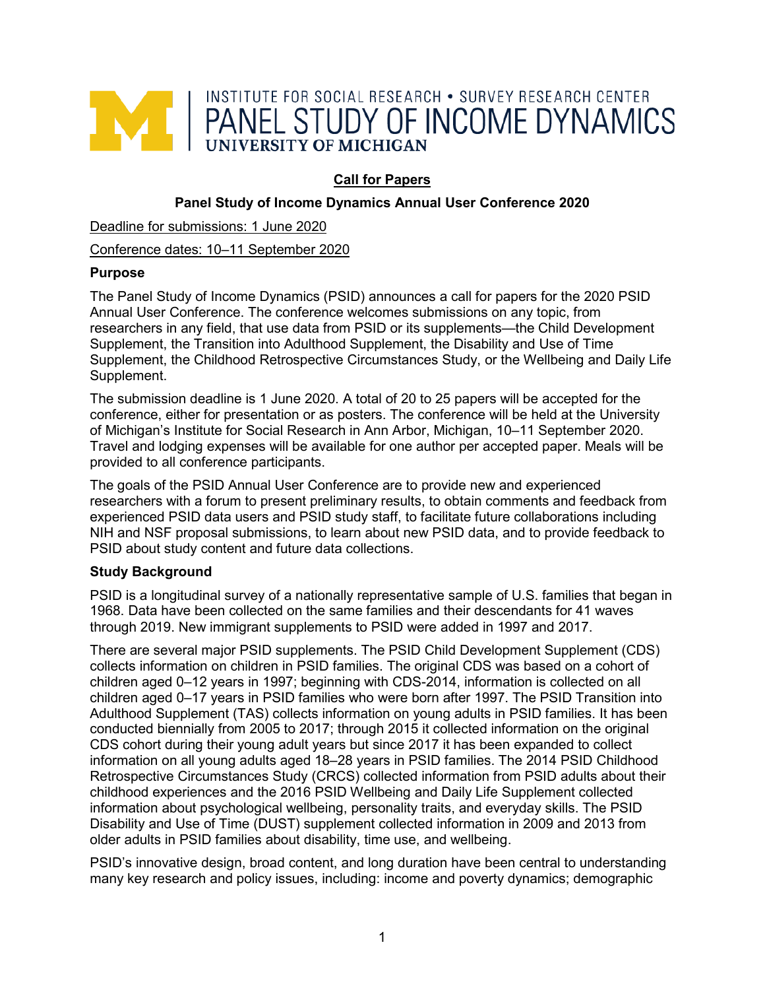

# **Call for Papers**

## **Panel Study of Income Dynamics Annual User Conference 2020**

Deadline for submissions: 1 June 2020

Conference dates: 10–11 September 2020

## **Purpose**

The Panel Study of Income Dynamics (PSID) announces a call for papers for the 2020 PSID Annual User Conference. The conference welcomes submissions on any topic, from researchers in any field, that use data from PSID or its supplements—the Child Development Supplement, the Transition into Adulthood Supplement, the Disability and Use of Time Supplement, the Childhood Retrospective Circumstances Study, or the Wellbeing and Daily Life Supplement.

The submission deadline is 1 June 2020. A total of 20 to 25 papers will be accepted for the conference, either for presentation or as posters. The conference will be held at the University of Michigan's Institute for Social Research in Ann Arbor, Michigan, 10–11 September 2020. Travel and lodging expenses will be available for one author per accepted paper. Meals will be provided to all conference participants.

The goals of the PSID Annual User Conference are to provide new and experienced researchers with a forum to present preliminary results, to obtain comments and feedback from experienced PSID data users and PSID study staff, to facilitate future collaborations including NIH and NSF proposal submissions, to learn about new PSID data, and to provide feedback to PSID about study content and future data collections.

## **Study Background**

PSID is a longitudinal survey of a nationally representative sample of U.S. families that began in 1968. Data have been collected on the same families and their descendants for 41 waves through 2019. New immigrant supplements to PSID were added in 1997 and 2017.

There are several major PSID supplements. The PSID Child Development Supplement (CDS) collects information on children in PSID families. The original CDS was based on a cohort of children aged 0–12 years in 1997; beginning with CDS-2014, information is collected on all children aged 0–17 years in PSID families who were born after 1997. The PSID Transition into Adulthood Supplement (TAS) collects information on young adults in PSID families. It has been conducted biennially from 2005 to 2017; through 2015 it collected information on the original CDS cohort during their young adult years but since 2017 it has been expanded to collect information on all young adults aged 18–28 years in PSID families. The 2014 PSID Childhood Retrospective Circumstances Study (CRCS) collected information from PSID adults about their childhood experiences and the 2016 PSID Wellbeing and Daily Life Supplement collected information about psychological wellbeing, personality traits, and everyday skills. The PSID Disability and Use of Time (DUST) supplement collected information in 2009 and 2013 from older adults in PSID families about disability, time use, and wellbeing.

PSID's innovative design, broad content, and long duration have been central to understanding many key research and policy issues, including: income and poverty dynamics; demographic